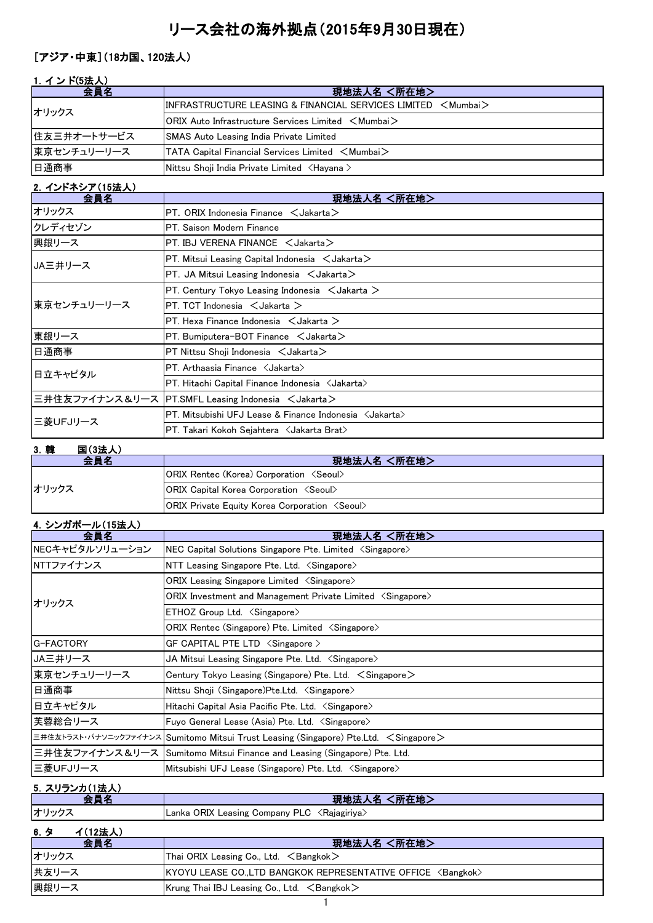# リース会社の海外拠点(2015年9月30日現在)

## [アジア・中東](18カ国、120法人)

|  | 1. インド(5法人) |                                                                                                                 |
|--|-------------|-----------------------------------------------------------------------------------------------------------------|
|  | 会昌名         | 現地法人名 <所在地>                                                                                                     |
|  | オリックス       | $\textsf{IINFRASTRUCTURE LEASING & FINANCIAL SERIES LIMITED & Mumba}$                                           |
|  |             | <b>ORIX Auto Infrastructure Services Limited <mumbai></mumbai></b>                                              |
|  | 住友三井オートサービス | <b>SMAS Auto Leasing India Private Limited</b>                                                                  |
|  | 東京センチュリーリース | $\blacktriangleright$ TATA Capital Financial Services Limited $\blacktriangleleft$ Mumbai $\blacktriangleright$ |

#### 日通商事 Nittsu Shoji India Private Limited <Hayana >

| 2. インドネシア(15法人) |                                                                  |  |
|-----------------|------------------------------------------------------------------|--|
| 会員名             | 現地法人名 <所在地>                                                      |  |
| オリックス           | $PT.$ ORIX Indonesia Finance $\leq$ Jakarta $>$                  |  |
| クレディセゾン         | PT. Saison Modern Finance                                        |  |
| 興銀リース           | $PT$ . IBJ VERENA FINANCE $\lt$ Jakarta $>$                      |  |
| JA三井リース         | PT. Mitsui Leasing Capital Indonesia $\lt$ Jakarta $\gt$         |  |
|                 | $PT.$ JA Mitsui Leasing Indonesia $\lt$ Jakarta $\gt$            |  |
|                 | PT. Century Tokyo Leasing Indonesia $\leq$ Jakarta $\geq$        |  |
| 東京センチュリーリース     | $PT. TCT$ Indonesia $\lt$ Jakarta $\gt$                          |  |
|                 | PT. Hexa Finance Indonesia $\leq$ Jakarta $\geq$                 |  |
| 東銀リース           | $PT.$ Bumiputera-BOT Finance $\lt$ Jakarta $>$                   |  |
| 日通商事            | $PT$ Nittsu Shoji Indonesia $\lt$ Jakarta $\gt$                  |  |
| 日立キャピタル         | PT. Arthaasia Finance < Jakarta>                                 |  |
|                 | PT. Hitachi Capital Finance Indonesia < Jakarta>                 |  |
|                 | 三井住友ファイナンス&リース  PT.SMFL Leasing Indonesia <jakarta></jakarta>    |  |
| 三菱UFJリース        | PT. Mitsubishi UFJ Lease & Finance Indonesia <jakarta></jakarta> |  |
|                 | PT. Takari Kokoh Sejahtera <jakarta brat=""></jakarta>           |  |

#### 3.韓 国(3法人)

| $\sim$ $-$ |                                                              |
|------------|--------------------------------------------------------------|
| 会員名        | 現地法人名 <所在地>                                                  |
|            | <b>ORIX Rentec (Korea) Corporation <seoul></seoul></b>       |
| オリックス      | <b>ORIX Capital Korea Corporation <seoul></seoul></b>        |
|            | <b>ORIX Private Equity Korea Corporation <seoul></seoul></b> |

## 4.シンガポール(15法人)

| 会員名             | <所在地><br>現地法人名                                                                        |
|-----------------|---------------------------------------------------------------------------------------|
| NECキャピタルソリューション | NEC Capital Solutions Singapore Pte. Limited <singapore></singapore>                  |
| NTTファイナンス       | NTT Leasing Singapore Pte. Ltd. < Singapore>                                          |
| オリックス           | ORIX Leasing Singapore Limited $\langle$ Singapore $\rangle$                          |
|                 | ORIX Investment and Management Private Limited $\langle$ Singapore $\rangle$          |
|                 | $ETHOZ$ Group Ltd. $\langle$ Singapore $\rangle$                                      |
|                 | ORIX Rentec (Singapore) Pte. Limited <singapore></singapore>                          |
| G-FACTORY       | GF CAPITAL PTE LTD <singapore></singapore>                                            |
| JA三井リース         | JA Mitsui Leasing Singapore Pte. Ltd. $\langle$ Singapore $\rangle$                   |
| 東京センチュリーリース     | Century Tokyo Leasing (Singapore) Pte. Ltd. $\leq$ Singapore $\geq$                   |
| 日通商事            | Nittsu Shoji (Singapore)Pte.Ltd. <singapore></singapore>                              |
| 日立キャピタル         | Hitachi Capital Asia Pacific Pte. Ltd. <singapore></singapore>                        |
| 芙蓉総合リース         | Fuyo General Lease (Asia) Pte. Ltd. <singapore></singapore>                           |
|                 | 三井住友トラスト・パナソニックファイナンス Sumitomo Mitsui Trust Leasing (Singapore) Pte.Ltd. < Singapore> |
|                 | 三井住友ファイナンス&リース Sumitomo Mitsui Finance and Leasing (Singapore) Pte. Ltd.              |
| 三菱UFJリース        | Mitsubishi UFJ Lease (Singapore) Pte. Ltd. <singapore></singapore>                    |

#### スリランカ(1法 - ^ 現地法人名 <所在地><br>会員名 マンディング - 現地法人名 <所在地>

Lanka ORIX Leasing Company PLC <Rajagiriya>

| <u>6. 夕</u><br>イ(12法人) |                                                                       |
|------------------------|-----------------------------------------------------------------------|
| 会員名                    | 現地法人名 <所在地>                                                           |
| オリックス                  | Thai ORIX Leasing Co., Ltd. $\leq$ Bangkok $>$                        |
| 共友リース                  | KYOYU LEASE CO.,LTD BANGKOK REPRESENTATIVE OFFICE <bangkok></bangkok> |
| 興銀リース                  | Krung Thai IBJ Leasing Co., Ltd. $\leq$ Bangkok $>$                   |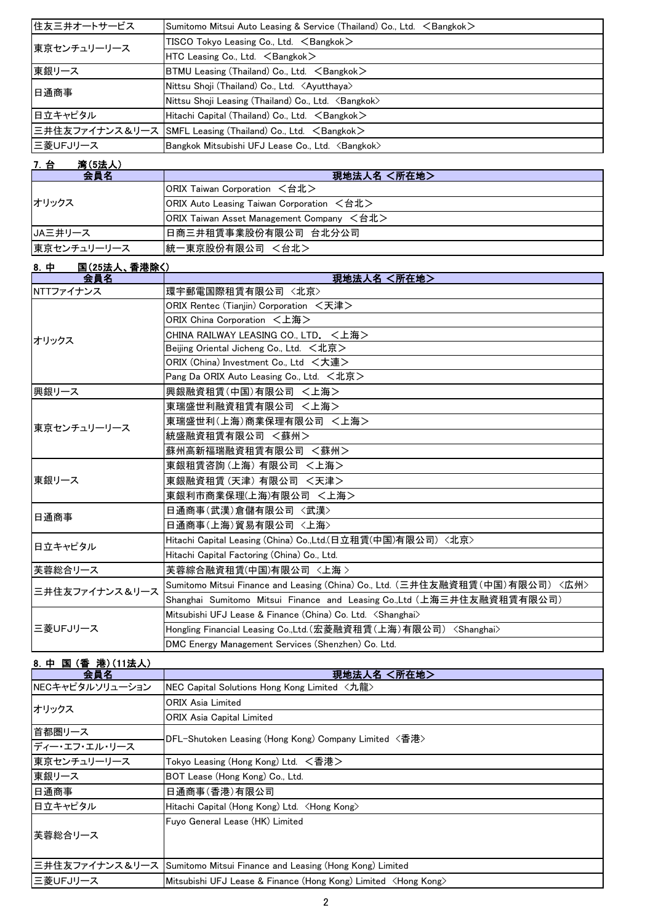| 住友三井オートサービス | Sumitomo Mitsui Auto Leasing & Service (Thailand) Co., Ltd. <bangkok></bangkok> |
|-------------|---------------------------------------------------------------------------------|
| 東京センチュリーリース | TISCO Tokyo Leasing Co., Ltd. <bangkok></bangkok>                               |
|             | $HTC$ Leasing Co., Ltd. $\leq$ Bangkok $>$                                      |
| 東銀リース       | $BTMU$ Leasing (Thailand) Co., Ltd. $\leq$ Bangkok $>$                          |
| 日通商事        | Nittsu Shoji (Thailand) Co., Ltd. <ayutthaya></ayutthaya>                       |
|             | Nittsu Shoji Leasing (Thailand) Co., Ltd. <bangkok></bangkok>                   |
| 日立キャピタル     | Hitachi Capital (Thailand) Co., Ltd. <bangkok></bangkok>                        |
|             | 三井住友ファイナンス&リース SMFL Leasing (Thailand) Co., Ltd. <bangkok></bangkok>            |
| ■三菱UFJリース   | Bangkok Mitsubishi UFJ Lease Co., Ltd. <bangkok></bangkok>                      |

## 7.台 湾(5法人)

| 会員名         | 現地法人名 <所在地>                               |
|-------------|-------------------------------------------|
|             | ORIX Taiwan Corporation <台北>              |
| オリックス       | ORIX Auto Leasing Taiwan Corporation <台北> |
|             | ORIX Taiwan Asset Management Company <台北> |
| JA三井リース     | ┃日商三井租賃事業股份有限公司 台北分公司                     |
| 東京センチュリーリース | 統一東京股份有限公司 <台北>                           |

| 8. 中      | <b>国(25法人、香港除く)</b> |                                                                              |
|-----------|---------------------|------------------------------------------------------------------------------|
|           | 会員名                 | 現地法人名 <所在地>                                                                  |
| NTTファイナンス |                     | 環宇郵電国際租賃有限公司 〈北京〉                                                            |
|           | オリックス               | ORIX Rentec (Tianiin) Corporation <天津>                                       |
|           |                     | ORIX China Corporation <上海>                                                  |
|           |                     | CHINA RAILWAY LEASING CO., LTD. <上海>                                         |
|           |                     | Beijing Oriental Jicheng Co., Ltd. $\lt t$ 北京 $>$                            |
|           |                     | ORIX (China) Investment Co., Ltd <大連>                                        |
|           |                     | Pang Da ORIX Auto Leasing Co., Ltd. <北京>                                     |
| 興銀リース     |                     | 興銀融資租賃(中国)有限公司 <上海>                                                          |
|           |                     | 東瑞盛世利融資租賃有限公司 <上海>                                                           |
|           |                     | 東瑞盛世利(上海)商業保理有限公司 <上海>                                                       |
|           | 東京センチュリーリース         | 統盛融資租賃有限公司 <蘇州>                                                              |
|           |                     | 蘇州高新福瑞融資租賃有限公司 <蘇州>                                                          |
|           |                     | 東銀租賃咨詢(上海) 有限公司 <上海>                                                         |
| 東銀リース     |                     | 東銀融資租賃(天津) 有限公司 <天津>                                                         |
|           |                     | 東銀利市商業保理(上海)有限公司 <上海>                                                        |
| 日通商事      |                     | 日通商事(武漢)倉儲有限公司 〈武漢〉                                                          |
|           |                     | 日通商事(上海)貿易有限公司 〈上海〉                                                          |
| 日立キャピタル   |                     | Hitachi Capital Leasing (China) Co.,Ltd.(日立租賃(中国)有限公司) <北京>                  |
|           |                     | Hitachi Capital Factoring (China) Co., Ltd.                                  |
| 芙蓉総合リース   |                     | 芙蓉綜合融資租賃(中国)有限公司 〈上海 〉                                                       |
|           |                     | Sumitomo Mitsui Finance and Leasing (China) Co., Ltd. (三井住友融資租賃(中国)有限公司)〈広州〉 |
|           | 三井住友ファイナンス&リース      | Shanghai Sumitomo Mitsui Finance and Leasing Co.,Ltd (上海三井住友融資租賃有限公司)        |
|           | 三菱UFJリース            | Mitsubishi UFJ Lease & Finance (China) Co. Ltd. < Shanghai>                  |
|           |                     | Hongling Financial Leasing Co.,Ltd.(宏菱融資租賃(上海)有限公司) <shanghai></shanghai>    |
|           |                     | DMC Energy Management Services (Shenzhen) Co. Ltd.                           |

## 8.中 国 (香 港)(11法人)

| 会員名             | 現地法人名 <所在地>                                                              |
|-----------------|--------------------------------------------------------------------------|
| NECキャピタルソリューション | NEC Capital Solutions Hong Kong Limited <九龍>                             |
| オリックス           | <b>ORIX Asia Limited</b>                                                 |
|                 | <b>ORIX Asia Capital Limited</b>                                         |
| 首都圏リース          | DFL-Shutoken Leasing (Hong Kong) Company Limited 〈香港〉                    |
| ディー・エフ・エル・リース   |                                                                          |
| 東京センチュリーリース     | Tokyo Leasing (Hong Kong) Ltd. <香港>                                      |
| 東銀リース           | BOT Lease (Hong Kong) Co., Ltd.                                          |
| 日通商事            | 日通商事(香港)有限公司                                                             |
| 日立キャピタル         | Hitachi Capital (Hong Kong) Ltd. <hong kong=""></hong>                   |
|                 | Fuyo General Lease (HK) Limited                                          |
| 芙蓉総合リース         |                                                                          |
|                 |                                                                          |
|                 | 三井住友ファイナンス&リース Sumitomo Mitsui Finance and Leasing (Hong Kong) Limited   |
| 三菱UFJリース        | Mitsubishi UFJ Lease & Finance (Hong Kong) Limited <hong kong=""></hong> |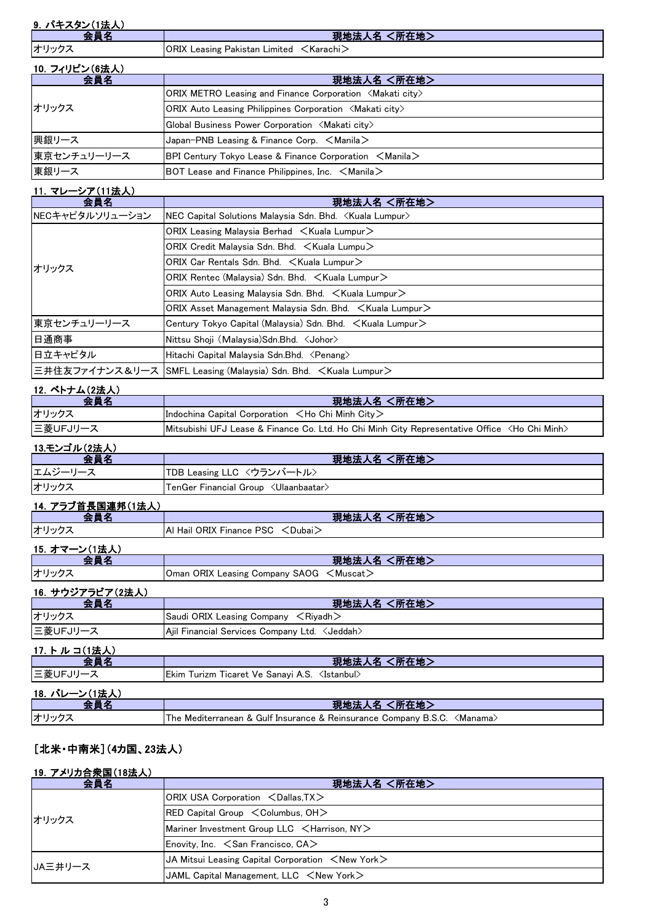| 9. パキスタン(1法人) |  |
|---------------|--|
|               |  |

| ᅀᆯᅍ                | <所在地><br>現地法人名 |
|--------------------|----------------|
| オリックス              |                |
| $10.7112$ $(22.1)$ |                |

| 10. フィリピン(6法人) |                                                                            |
|----------------|----------------------------------------------------------------------------|
| 会員名            | 現地法人名 <所在地>                                                                |
| オリックス          | ORIX METRO Leasing and Finance Corporation $\langle$ Makati city $\rangle$ |
|                | <b>ORIX Auto Leasing Philippines Corporation <makati city=""></makati></b> |
|                | Global Business Power Corporation <makati city=""></makati>                |
| 興銀リース          | Japan-PNB Leasing & Finance Corp. $\leq$ Manila $\geq$                     |
| 東京センチュリーリース    | BPI Century Tokyo Lease & Finance Corporation $\leq$ Manila $\geq$         |
| 東銀リース          | BOT Lease and Finance Philippines, Inc. $\leq$ Manila $\geq$               |

## 11.マレーシア(11法人)

| 会員名             | 現地法人名 <所在地>                                                                |
|-----------------|----------------------------------------------------------------------------|
| NECキャピタルソリューション | NEC Capital Solutions Malaysia Sdn. Bhd. <kuala lumpur=""></kuala>         |
| オリックス           | ORIX Leasing Malaysia Berhad $\leq$ Kuala Lumpur $\geq$                    |
|                 | ORIX Credit Malaysia Sdn. Bhd. $\leq$ Kuala Lumpu $\geq$                   |
|                 | ORIX Car Rentals Sdn. Bhd. < Kuala Lumpur>                                 |
|                 | ORIX Rentec (Malaysia) Sdn. Bhd. $\leq$ Kuala Lumpur $\geq$                |
|                 | ORIX Auto Leasing Malaysia Sdn. Bhd. $\leq$ Kuala Lumpur $\geq$            |
|                 | ORIX Asset Management Malaysia Sdn. Bhd. $\leq$ Kuala Lumpur $\geq$        |
| 東京センチュリーリース     | Century Tokyo Capital (Malaysia) Sdn. Bhd. <kuala lumpur=""></kuala>       |
| 日通商事            | Nittsu Shoji (Malaysia) Sdn. Bhd. < Johor>                                 |
| 日立キャピタル         | Hitachi Capital Malaysia Sdn.Bhd. <penang></penang>                        |
|                 | 三井住友ファイナンス&リース SMFL Leasing (Malaysia) Sdn. Bhd. <kuala lumpur=""></kuala> |

| 12. ベトナム(2法人) |                                                                                                         |
|---------------|---------------------------------------------------------------------------------------------------------|
| 会員名           | 現地法人名 <所在地>                                                                                             |
| オリックス         | Indochina Capital Corporation $\lt$ Ho Chi Minh City $\gt$                                              |
| 三菱UFJリース      | Mitsubishi UFJ Lease & Finance Co. Ltd. Ho Chi Minh City Representative Office <ho chi="" minh=""></ho> |

## <u>13.モンゴル(2法人)</u><br>| 会員名 会員名 現地法人名 <所在地>

| .                | ____<br>--------                                       |
|------------------|--------------------------------------------------------|
| エムジ<br>$-$<br>∸∸ | TDB Leasing LLC 〈ウランバートル〉                              |
|                  |                                                        |
| オリックス            | <ulaanbaatar><br/>FenGer Financial Group</ulaanbaatar> |
|                  |                                                        |
|                  |                                                        |

# 14. アラブ首長国連邦(1法人)

| .<br>- 23    | 現地法人名<br>〈所在地〉                            |
|--------------|-------------------------------------------|
| オリックス        | IAI Hail ORIX Finance PSC <dubai></dubai> |
| 16 ナラニン/1注上1 |                                           |

| 15. オマーン(1法人)    |                                                                               |
|------------------|-------------------------------------------------------------------------------|
|                  | 現地法人名 <所在地>                                                                   |
| オリックス            | <b>Oman ORIX Leasing Company SAOG <math>\lt M</math>uscat<math>\gt</math></b> |
| 16. サウジアラビア(2法人) |                                                                               |

| - 10. ノ ノノノ ノヒノ (ムム人) |                                                        |
|-----------------------|--------------------------------------------------------|
| 会員名                   | 現地法人名 <所在地>                                            |
| オリックス                 | Saudi ORIX Leasing Company $\leq$ Riyadh $\geq$        |
| ニ菱UFJリース              | Ajil Financial Services Company Ltd. <jeddah></jeddah> |
| 17. トルコ(1法人)          |                                                        |
| 会員名                   | 現地法人名 <所在地>                                            |
| ニ菱UFJリース              |                                                        |
|                       |                                                        |

| 18. バレーン(1法人)                                                                     |
|-----------------------------------------------------------------------------------|
|                                                                                   |
| The Mediterranean & Gulf Insurance & Reinsurance Company B.S.C. <manama></manama> |
| オリックス                                                                             |

## [北米・中南米](4カ国、23法人)

## 19.アメリカ合衆国(18法人)

| 会員名     | 現地法人名 <所在地>                                                                           |
|---------|---------------------------------------------------------------------------------------|
| オリックス   | ORIX USA Corporation <dallas, tx=""></dallas,>                                        |
|         | $RED$ Capital Group $\leq$ Columbus, OH $>$                                           |
|         | Mariner Investment Group LLC <harrison, ny=""></harrison,>                            |
|         | Enovity, Inc. $\leq$ San Francisco, CA $>$                                            |
| UA三井リース | <b>JA Mitsui Leasing Capital Corporation <math>\lt</math>New York<math>\gt</math></b> |
|         | JAML Capital Management, LLC $\leq$ New York $\geq$                                   |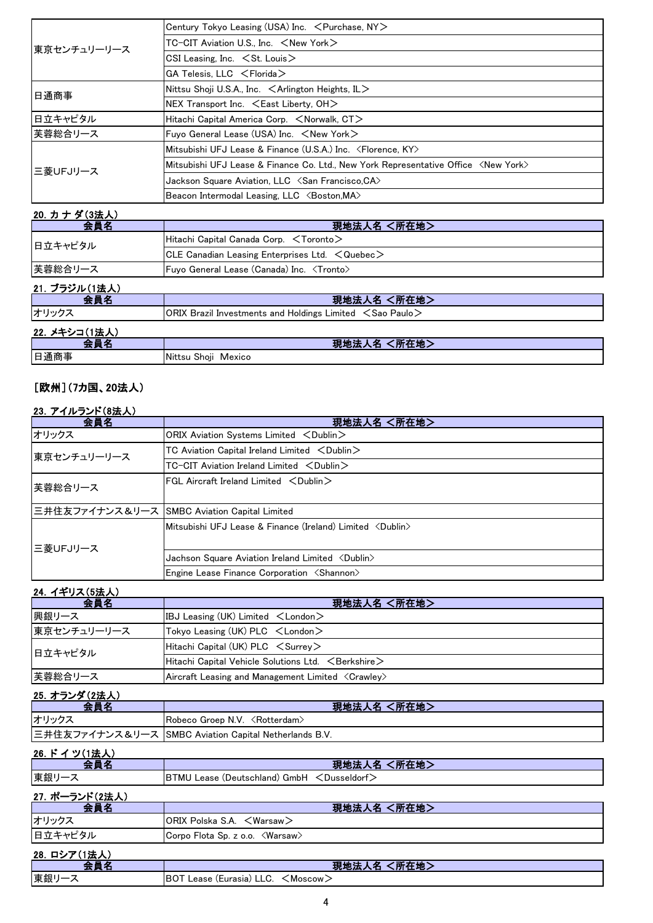| 東京センチュリーリース | Century Tokyo Leasing (USA) Inc. < Purchase, NY>                                            |
|-------------|---------------------------------------------------------------------------------------------|
|             | $TC-CIT$ Aviation U.S., Inc. $\lt$ New York $\gt$                                           |
|             | CSI Leasing, Inc. $\leq$ St. Louis $\geq$                                                   |
|             | $GA$ Telesis, LLC $\leq$ Florida $>$                                                        |
| 日通商事        | Nittsu Shoji U.S.A., Inc. $\leq$ Arlington Heights, IL $>$                                  |
|             | $NEX$ Transport Inc. $\leq$ East Liberty, OH $>$                                            |
| 日立キャピタル     | Hitachi Capital America Corp. $\leq$ Norwalk. CT $>$                                        |
| 芙蓉総合リース     | Fuyo General Lease (USA) Inc. $\leq$ New York $\geq$                                        |
| 三菱UFJリース    | Mitsubishi UFJ Lease & Finance (U.S.A.) Inc. <florence, ky=""></florence,>                  |
|             | Mitsubishi UFJ Lease & Finance Co. Ltd., New York Representative Office <new york=""></new> |
|             | Jackson Square Aviation, LLC $\langle$ San Francisco,CA $\rangle$                           |
|             | Beacon Intermodal Leasing, LLC <boston, ma=""></boston,>                                    |

# 20. カナダ(3法人)

| 会員名           | 現地法人名 <所在地>                                                          |
|---------------|----------------------------------------------------------------------|
| 日立キャピタル       | Hitachi Capital Canada Corp. <toronto></toronto>                     |
|               | CLE Canadian Leasing Enterprises Ltd. $\leq$ Quebec $\geq$           |
| 芙蓉総合リース       | Fuyo General Lease (Canada) Inc. <tronto></tronto>                   |
| 21. ブラジル(1法人) |                                                                      |
| 会員名           | 現地法人名 <所在地>                                                          |
| オリックス         | ORIX Brazil Investments and Holdings Limited $\leq$ Sao Paulo $\geq$ |
| 22. メキシコ(1法人) |                                                                      |
| 会員名           | 現地法人名 <所在地>                                                          |
| 日通商事          | Nittsu Shoji Mexico                                                  |

## [欧州](7カ国、20法人)

#### 23. アイルランド(8法人)

| 会員名         | 現地法人名 <所在地>                                                                                                                                                  |
|-------------|--------------------------------------------------------------------------------------------------------------------------------------------------------------|
| オリックス       | ORIX Aviation Systems Limited <dublin></dublin>                                                                                                              |
| 東京センチュリーリース | $TC$ Aviation Capital Ireland Limited $\langle$ Dublin $\rangle$                                                                                             |
|             | $TC-CIT$ Aviation Ireland Limited $\langle$ Dublin $\rangle$                                                                                                 |
| 芙蓉総合リース     | $FGL$ Aircraft Ireland Limited $\langle$ Dublin $\rangle$                                                                                                    |
|             | 三井住友ファイナンス&リース SMBC Aviation Capital Limited                                                                                                                 |
| 三菱UFJリース    | <code>IM</code> itsubishi <code>UFJ</code> Lease & Finance (Ireland) <code>Limited <math>\,</math> <code>CD</code>ublin<math>\,</math><math>\,</math></code> |
|             | Jachson Square Aviation Ireland Limited <dublin></dublin>                                                                                                    |
|             | Engine Lease Finance Corporation <shannon></shannon>                                                                                                         |

#### 24. イギリス(5法人)

| 会員名         | 現地法人名 <所在地>                                                    |
|-------------|----------------------------------------------------------------|
| 興銀リース       | IBJ Leasing (UK) Limited $\lt$ London $\gt$                    |
| 東京センチュリーリース | $\mathsf{Tokyo}$ Leasing (UK) PLC $\mathsf{Chondon}\mathsf{C}$ |
| 日立キャピタル     | $Hitachi$ Capital (UK) PLC $\leq$ Surrey $>$                   |
|             | $ $ Hitachi Capital Vehicle Solutions Ltd. $\,<$ Berkshire $>$ |
| 芙蓉総合リース     | Aircraft Leasing and Management Limited <crawley></crawley>    |

# 25. オランダ (2法人)

| ____  | 現地法人名 <所在地>                                           |
|-------|-------------------------------------------------------|
| オリックス |                                                       |
|       | 三井住友ファイナンス&リース SMBC Aviation Capital Netherlands B.V. |

## 26. ドイツ(1法人)

| 会員名            | 現地法人名 <所在地>                                                    |
|----------------|----------------------------------------------------------------|
| 東銀リース          | <b>BTMU Lease (Deutschland) GmbH <dusseldorf></dusseldorf></b> |
| 27. ポーランド(2法人) |                                                                |
| 会員名            | 現地法人名 <所在地>                                                    |
| オリックス          | ORIX Polska S.A. < Warsaw>                                     |
| 日立キャピタル        | Corpo Flota Sp. z o.o. <warsaw></warsaw>                       |
| 28. ロシア(1法人)   |                                                                |
| 会員名            | 現地法人名 <所在地>                                                    |
| 東銀リース          | BOT Lease (Eurasia) LLC. <moscow></moscow>                     |